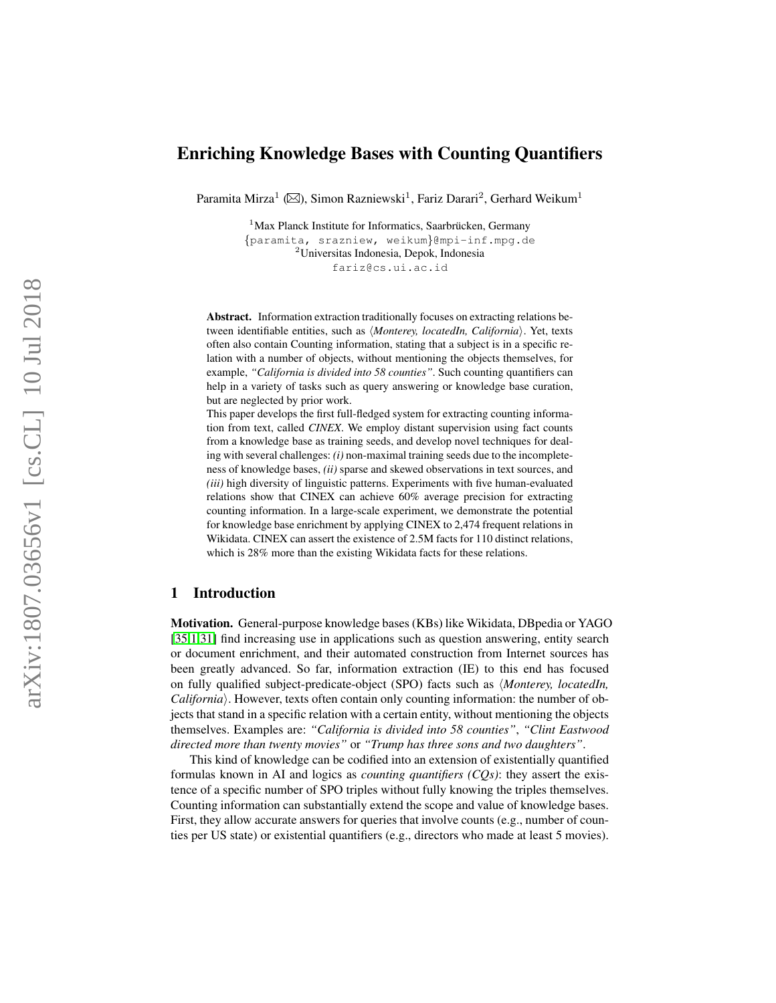# Enriching Knowledge Bases with Counting Quantifiers

Paramita Mirza $^1$  ( $\boxtimes$ ), Simon Razniewski $^1$ , Fariz Darari $^2$ , Gerhard Weikum $^1$ 

 $<sup>1</sup>$ Max Planck Institute for Informatics, Saarbrücken, Germany</sup> {paramita, srazniew, weikum }@mpi-inf.mpg.de <sup>2</sup>Universitas Indonesia, Depok, Indonesia fariz@cs.ui.ac.id

Abstract. Information extraction traditionally focuses on extracting relations between identifiable entities, such as *{Monterey, locatedIn, California*}. Yet, texts often also contain Counting information, stating that a subject is in a specific relation with a number of objects, without mentioning the objects themselves, for example, *"California is divided into 58 counties"*. Such counting quantifiers can help in a variety of tasks such as query answering or knowledge base curation, but are neglected by prior work.

This paper develops the first full-fledged system for extracting counting information from text, called *CINEX*. We employ distant supervision using fact counts from a knowledge base as training seeds, and develop novel techniques for dealing with several challenges: *(i)* non-maximal training seeds due to the incompleteness of knowledge bases, *(ii)* sparse and skewed observations in text sources, and *(iii)* high diversity of linguistic patterns. Experiments with five human-evaluated relations show that CINEX can achieve 60% average precision for extracting counting information. In a large-scale experiment, we demonstrate the potential for knowledge base enrichment by applying CINEX to 2,474 frequent relations in Wikidata. CINEX can assert the existence of 2.5M facts for 110 distinct relations, which is 28% more than the existing Wikidata facts for these relations.

# 1 Introduction

Motivation. General-purpose knowledge bases (KBs) like Wikidata, DBpedia or YAGO [\[35,](#page-15-0)[1,](#page-14-0)[31\]](#page-15-1) find increasing use in applications such as question answering, entity search or document enrichment, and their automated construction from Internet sources has been greatly advanced. So far, information extraction (IE) to this end has focused on fully qualified subject-predicate-object (SPO) facts such as h*Monterey, locatedIn,* California). However, texts often contain only counting information: the number of objects that stand in a specific relation with a certain entity, without mentioning the objects themselves. Examples are: *"California is divided into 58 counties"* , *"Clint Eastwood directed more than twenty movies"* or *"Trump has three sons and two daughters"* .

This kind of knowledge can be codified into an extension of existentially quantified formulas known in AI and logics as *counting quantifiers (CQs)*: they assert the existence of a specific number of SPO triples without fully knowing the triples themselves. Counting information can substantially extend the scope and value of knowledge bases. First, they allow accurate answers for queries that involve counts (e.g., number of counties per US state) or existential quantifiers (e.g., directors who made at least 5 movies).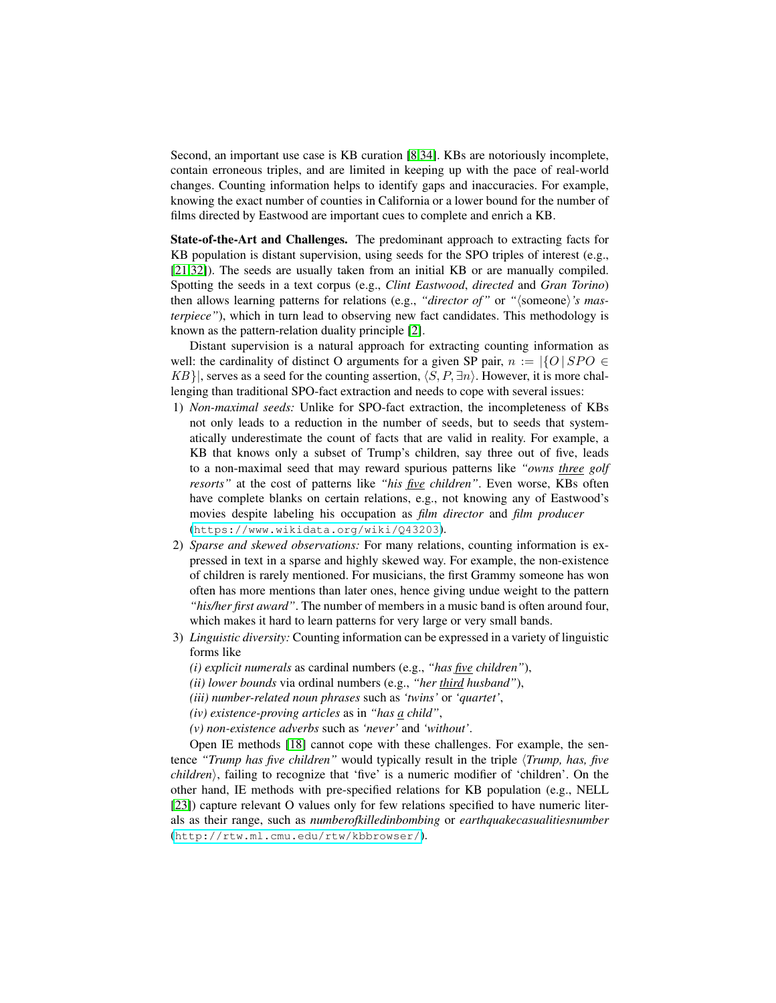Second, an important use case is KB curation [\[8,](#page-15-2)[34\]](#page-15-3). KBs are notoriously incomplete, contain erroneous triples, and are limited in keeping up with the pace of real-world changes. Counting information helps to identify gaps and inaccuracies. For example, knowing the exact number of counties in California or a lower bound for the number of films directed by Eastwood are important cues to complete and enrich a KB.

State-of-the-Art and Challenges. The predominant approach to extracting facts for KB population is distant supervision, using seeds for the SPO triples of interest (e.g., [\[21,](#page-15-4)[32\]](#page-15-5)). The seeds are usually taken from an initial KB or are manually compiled. Spotting the seeds in a text corpus (e.g., *Clint Eastwood*, *directed* and *Gran Torino*) then allows learning patterns for relations (e.g., *"director of"* or "/someone)*'s masterpiece"*), which in turn lead to observing new fact candidates. This methodology is known as the pattern-relation duality principle [\[2\]](#page-14-1).

Distant supervision is a natural approach for extracting counting information as well: the cardinality of distinct O arguments for a given SP pair,  $n := |\{O | SPO \in$  $KB\}$ , serves as a seed for the counting assertion,  $\langle S, P, \exists n \rangle$ . However, it is more challenging than traditional SPO-fact extraction and needs to cope with several issues:

- 1) *Non-maximal seeds:* Unlike for SPO-fact extraction, the incompleteness of KBs not only leads to a reduction in the number of seeds, but to seeds that systematically underestimate the count of facts that are valid in reality. For example, a KB that knows only a subset of Trump's children, say three out of five, leads to a non-maximal seed that may reward spurious patterns like *"owns three golf resorts"* at the cost of patterns like *"his five children"*. Even worse, KBs often have complete blanks on certain relations, e.g., not knowing any of Eastwood's movies despite labeling his occupation as *film director* and *film producer* (<https://www.wikidata.org/wiki/Q43203>).
- 2) *Sparse and skewed observations:* For many relations, counting information is expressed in text in a sparse and highly skewed way. For example, the non-existence of children is rarely mentioned. For musicians, the first Grammy someone has won often has more mentions than later ones, hence giving undue weight to the pattern *"his/her first award"*. The number of members in a music band is often around four, which makes it hard to learn patterns for very large or very small bands.
- 3) *Linguistic diversity:* Counting information can be expressed in a variety of linguistic forms like

*(i) explicit numerals* as cardinal numbers (e.g., *"has five children"*),

*(ii) lower bounds* via ordinal numbers (e.g., *"her third husband"*),

*(iii) number-related noun phrases* such as *'twins'* or *'quartet'*,

*(iv) existence-proving articles* as in *"has a child"*,

*(v) non-existence adverbs* such as *'never'* and *'without'*.

Open IE methods [\[18\]](#page-15-6) cannot cope with these challenges. For example, the sentence "Trump has five children" would typically result in the triple  $\langle Trump, has, five$ *children*), failing to recognize that 'five' is a numeric modifier of 'children'. On the other hand, IE methods with pre-specified relations for KB population (e.g., NELL [\[23\]](#page-15-7)) capture relevant O values only for few relations specified to have numeric literals as their range, such as *numberofkilledinbombing* or *earthquakecasualitiesnumber* (<http://rtw.ml.cmu.edu/rtw/kbbrowser/>).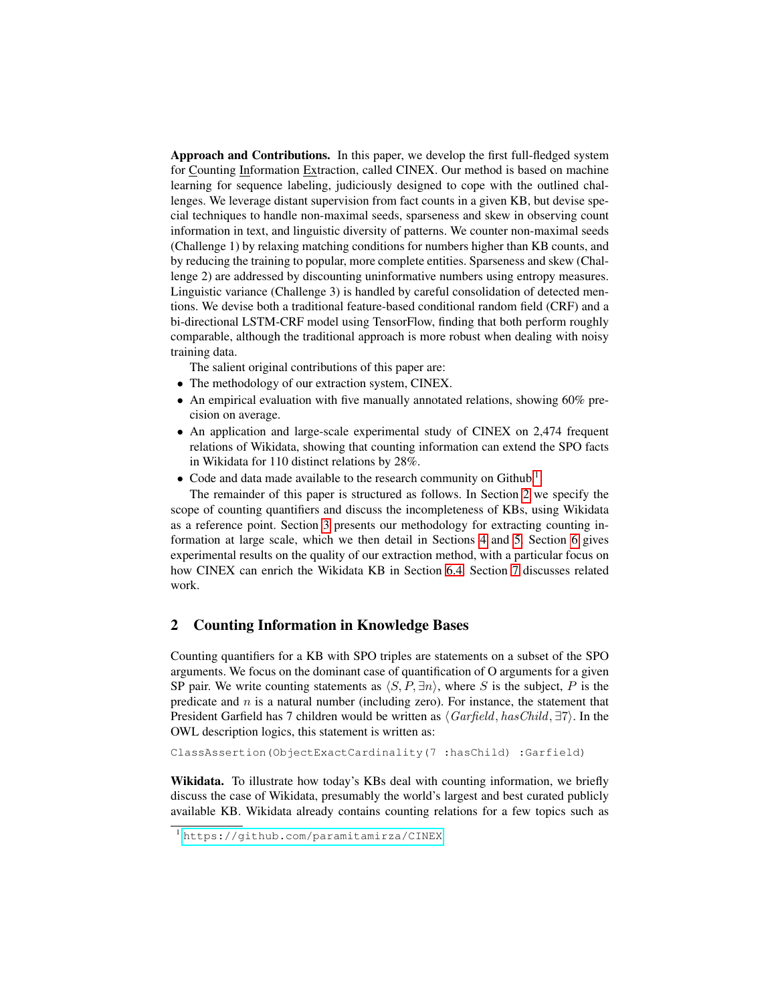Approach and Contributions. In this paper, we develop the first full-fledged system for Counting Information Extraction, called CINEX. Our method is based on machine learning for sequence labeling, judiciously designed to cope with the outlined challenges. We leverage distant supervision from fact counts in a given KB, but devise special techniques to handle non-maximal seeds, sparseness and skew in observing count information in text, and linguistic diversity of patterns. We counter non-maximal seeds (Challenge 1) by relaxing matching conditions for numbers higher than KB counts, and by reducing the training to popular, more complete entities. Sparseness and skew (Challenge 2) are addressed by discounting uninformative numbers using entropy measures. Linguistic variance (Challenge 3) is handled by careful consolidation of detected mentions. We devise both a traditional feature-based conditional random field (CRF) and a bi-directional LSTM-CRF model using TensorFlow, finding that both perform roughly comparable, although the traditional approach is more robust when dealing with noisy training data.

The salient original contributions of this paper are:

- The methodology of our extraction system, CINEX.
- An empirical evaluation with five manually annotated relations, showing 60% precision on average.
- An application and large-scale experimental study of CINEX on 2,474 frequent relations of Wikidata, showing that counting information can extend the SPO facts in Wikidata for 110 distinct relations by 28%.
- Code and data made available to the research community on Github.<sup>[1](#page-2-0)</sup>

The remainder of this paper is structured as follows. In Section [2](#page-2-1) we specify the scope of counting quantifiers and discuss the incompleteness of KBs, using Wikidata as a reference point. Section [3](#page-3-0) presents our methodology for extracting counting information at large scale, which we then detail in Sections [4](#page-4-0) and [5.](#page-7-0) Section [6](#page-8-0) gives experimental results on the quality of our extraction method, with a particular focus on how CINEX can enrich the Wikidata KB in Section [6.4.](#page-13-0) Section [7](#page-13-1) discusses related work.

### <span id="page-2-1"></span>2 Counting Information in Knowledge Bases

Counting quantifiers for a KB with SPO triples are statements on a subset of the SPO arguments. We focus on the dominant case of quantification of O arguments for a given SP pair. We write counting statements as  $\langle S, P, \exists n \rangle$ , where S is the subject, P is the predicate and  $n$  is a natural number (including zero). For instance, the statement that President Garfield has 7 children would be written as  $\langle Garfield, hasChild, \exists 7 \rangle$ . In the OWL description logics, this statement is written as:

ClassAssertion(ObjectExactCardinality(7 :hasChild) :Garfield)

Wikidata. To illustrate how today's KBs deal with counting information, we briefly discuss the case of Wikidata, presumably the world's largest and best curated publicly available KB. Wikidata already contains counting relations for a few topics such as

<span id="page-2-0"></span><sup>1</sup> <https://github.com/paramitamirza/CINEX>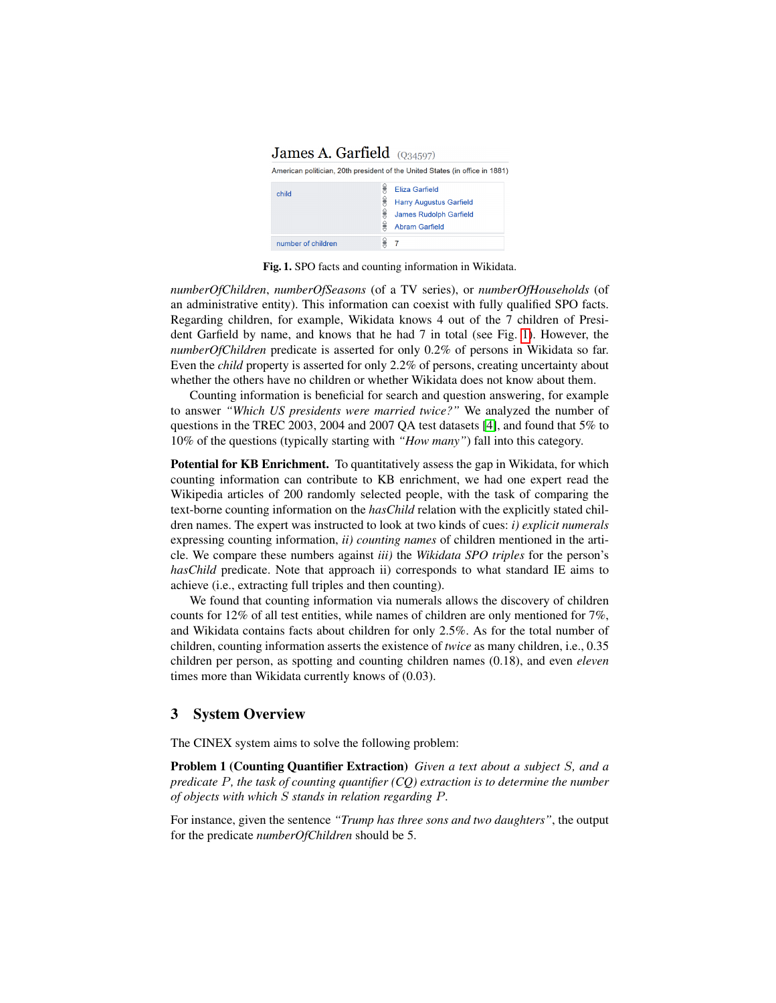### James A. Garfield  $(Q34597)$

|                    | American politician, 20th president of the United States (in office in 1881                                       |
|--------------------|-------------------------------------------------------------------------------------------------------------------|
| child              | <b>Eliza Garfield</b><br><b>Harry Augustus Garfield</b><br><b>James Rudolph Garfield</b><br><b>Abram Garfield</b> |
| number of children |                                                                                                                   |

<span id="page-3-1"></span>Fig. 1. SPO facts and counting information in Wikidata.

*numberOfChildren*, *numberOfSeasons* (of a TV series), or *numberOfHouseholds* (of an administrative entity). This information can coexist with fully qualified SPO facts. Regarding children, for example, Wikidata knows 4 out of the 7 children of President Garfield by name, and knows that he had 7 in total (see Fig. [1\)](#page-3-1). However, the *numberOfChildren* predicate is asserted for only 0.2% of persons in Wikidata so far. Even the *child* property is asserted for only 2.2% of persons, creating uncertainty about whether the others have no children or whether Wikidata does not know about them.

Counting information is beneficial for search and question answering, for example to answer *"Which US presidents were married twice?"* We analyzed the number of questions in the TREC 2003, 2004 and 2007 QA test datasets [\[4\]](#page-14-2), and found that 5% to 10% of the questions (typically starting with *"How many"*) fall into this category.

**Potential for KB Enrichment.** To quantitatively assess the gap in Wikidata, for which counting information can contribute to KB enrichment, we had one expert read the Wikipedia articles of 200 randomly selected people, with the task of comparing the text-borne counting information on the *hasChild* relation with the explicitly stated children names. The expert was instructed to look at two kinds of cues: *i) explicit numerals* expressing counting information, *ii) counting names* of children mentioned in the article. We compare these numbers against *iii)* the *Wikidata SPO triples* for the person's *hasChild* predicate. Note that approach ii) corresponds to what standard IE aims to achieve (i.e., extracting full triples and then counting).

We found that counting information via numerals allows the discovery of children counts for 12% of all test entities, while names of children are only mentioned for 7%, and Wikidata contains facts about children for only 2.5%. As for the total number of children, counting information asserts the existence of *twice* as many children, i.e., 0.35 children per person, as spotting and counting children names (0.18), and even *eleven* times more than Wikidata currently knows of (0.03).

### <span id="page-3-0"></span>3 System Overview

The CINEX system aims to solve the following problem:

Problem 1 (Counting Quantifier Extraction) *Given a text about a subject* S*, and a predicate* P*, the task of counting quantifier (CQ) extraction is to determine the number of objects with which* S *stands in relation regarding* P*.*

For instance, given the sentence *"Trump has three sons and two daughters"*, the output for the predicate *numberOfChildren* should be 5.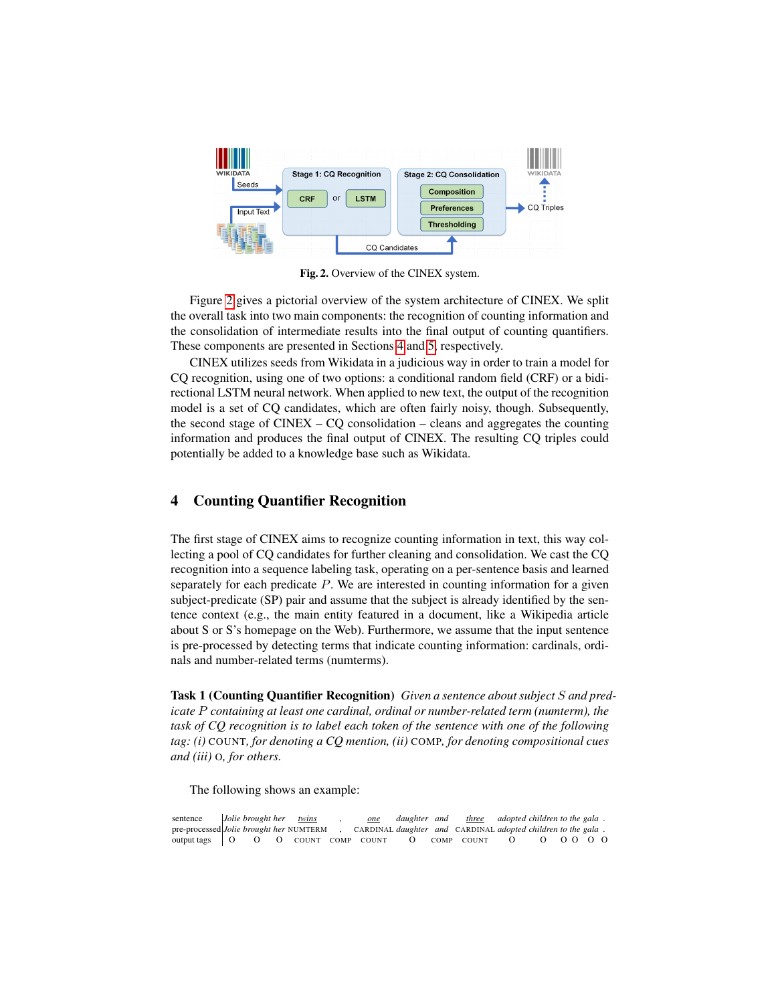

<span id="page-4-1"></span>Fig. 2. Overview of the CINEX system.

Figure [2](#page-4-1) gives a pictorial overview of the system architecture of CINEX. We split the overall task into two main components: the recognition of counting information and the consolidation of intermediate results into the final output of counting quantifiers. These components are presented in Sections [4](#page-4-0) and [5,](#page-7-0) respectively.

CINEX utilizes seeds from Wikidata in a judicious way in order to train a model for CQ recognition, using one of two options: a conditional random field (CRF) or a bidirectional LSTM neural network. When applied to new text, the output of the recognition model is a set of CQ candidates, which are often fairly noisy, though. Subsequently, the second stage of  $CINEX - CQ$  consolidation – cleans and aggregates the counting information and produces the final output of CINEX. The resulting CQ triples could potentially be added to a knowledge base such as Wikidata.

# <span id="page-4-0"></span>4 Counting Quantifier Recognition

The first stage of CINEX aims to recognize counting information in text, this way collecting a pool of CQ candidates for further cleaning and consolidation. We cast the CQ recognition into a sequence labeling task, operating on a per-sentence basis and learned separately for each predicate  $P$ . We are interested in counting information for a given subject-predicate (SP) pair and assume that the subject is already identified by the sentence context (e.g., the main entity featured in a document, like a Wikipedia article about S or S's homepage on the Web). Furthermore, we assume that the input sentence is pre-processed by detecting terms that indicate counting information: cardinals, ordinals and number-related terms (numterms).

Task 1 (Counting Quantifier Recognition) *Given a sentence about subject* S *and predicate* P *containing at least one cardinal, ordinal or number-related term (numterm), the task of CQ recognition is to label each token of the sentence with one of the following tag: (i)* COUNT*, for denoting a CQ mention, (ii)* COMP*, for denoting compositional cues and (iii)* O*, for others.*

The following shows an example:

sentence *Jolie brought her twins* , *one daughter and three adopted children to the gala .* pre-processed *Jolie brought her* NUMTERM , CARDINAL *daughter and* CARDINAL *adopted children to the gala .* output tags  $\begin{bmatrix} 0 & 0 & 0 & \text{COUNT} & \text{COMP} & \text{COUNT} & 0 & \text{COMP} & \text{COUNT} & 0 & 0 & 0 & 0 & 0 \end{bmatrix}$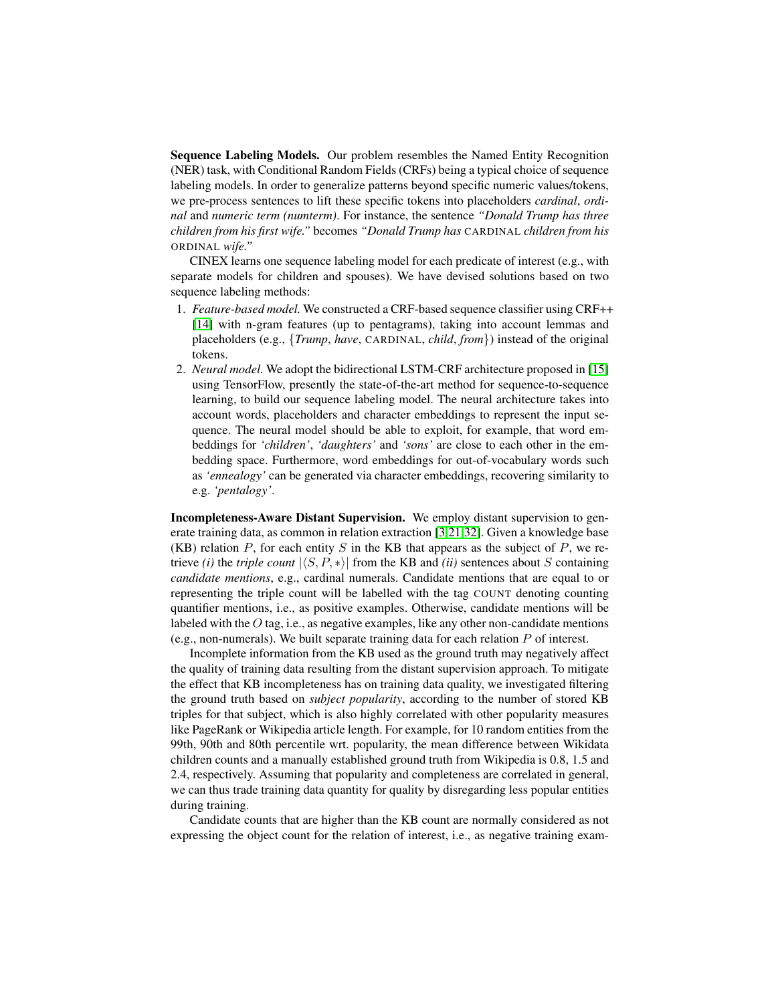Sequence Labeling Models. Our problem resembles the Named Entity Recognition (NER) task, with Conditional Random Fields (CRFs) being a typical choice of sequence labeling models. In order to generalize patterns beyond specific numeric values/tokens, we pre-process sentences to lift these specific tokens into placeholders *cardinal*, *ordinal* and *numeric term (numterm)*. For instance, the sentence *"Donald Trump has three children from his first wife."* becomes *"Donald Trump has* CARDINAL *children from his* ORDINAL *wife."*

CINEX learns one sequence labeling model for each predicate of interest (e.g., with separate models for children and spouses). We have devised solutions based on two sequence labeling methods:

- 1. *Feature-based model.* We constructed a CRF-based sequence classifier using CRF++ [\[14\]](#page-15-8) with n-gram features (up to pentagrams), taking into account lemmas and placeholders (e.g., {*Trump*, *have*, CARDINAL, *child*, *from*}) instead of the original tokens.
- 2. *Neural model.* We adopt the bidirectional LSTM-CRF architecture proposed in [\[15\]](#page-15-9) using TensorFlow, presently the state-of-the-art method for sequence-to-sequence learning, to build our sequence labeling model. The neural architecture takes into account words, placeholders and character embeddings to represent the input sequence. The neural model should be able to exploit, for example, that word embeddings for *'children'*, *'daughters'* and *'sons'* are close to each other in the embedding space. Furthermore, word embeddings for out-of-vocabulary words such as *'ennealogy'* can be generated via character embeddings, recovering similarity to e.g. *'pentalogy'*.

Incompleteness-Aware Distant Supervision. We employ distant supervision to generate training data, as common in relation extraction [\[3](#page-14-3)[,21](#page-15-4)[,32\]](#page-15-5). Given a knowledge base  $(KB)$  relation P, for each entity S in the KB that appears as the subject of P, we retrieve *(i)* the *triple count*  $|\langle S, P, * \rangle|$  from the KB and *(ii)* sentences about S containing *candidate mentions*, e.g., cardinal numerals. Candidate mentions that are equal to or representing the triple count will be labelled with the tag COUNT denoting counting quantifier mentions, i.e., as positive examples. Otherwise, candidate mentions will be labeled with the  $O$  tag, i.e., as negative examples, like any other non-candidate mentions (e.g., non-numerals). We built separate training data for each relation  $P$  of interest.

Incomplete information from the KB used as the ground truth may negatively affect the quality of training data resulting from the distant supervision approach. To mitigate the effect that KB incompleteness has on training data quality, we investigated filtering the ground truth based on *subject popularity*, according to the number of stored KB triples for that subject, which is also highly correlated with other popularity measures like PageRank or Wikipedia article length. For example, for 10 random entities from the 99th, 90th and 80th percentile wrt. popularity, the mean difference between Wikidata children counts and a manually established ground truth from Wikipedia is 0.8, 1.5 and 2.4, respectively. Assuming that popularity and completeness are correlated in general, we can thus trade training data quantity for quality by disregarding less popular entities during training.

Candidate counts that are higher than the KB count are normally considered as not expressing the object count for the relation of interest, i.e., as negative training exam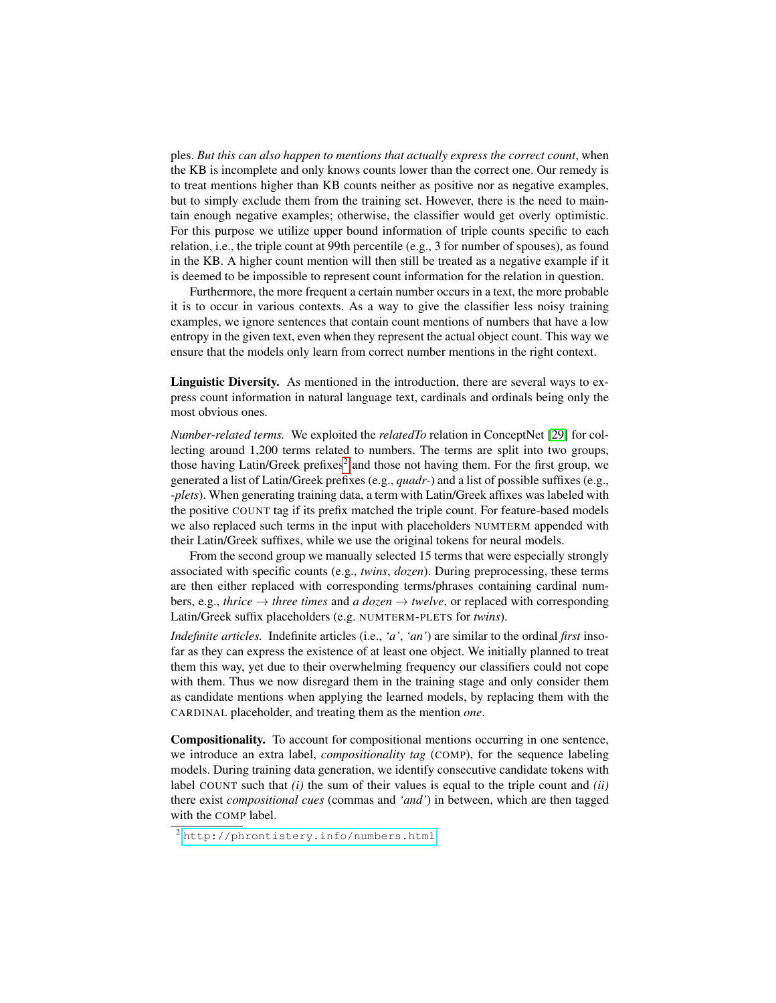ples. *But this can also happen to mentions that actually express the correct count*, when the KB is incomplete and only knows counts lower than the correct one. Our remedy is to treat mentions higher than KB counts neither as positive nor as negative examples, but to simply exclude them from the training set. However, there is the need to maintain enough negative examples; otherwise, the classifier would get overly optimistic. For this purpose we utilize upper bound information of triple counts specific to each relation, i.e., the triple count at 99th percentile (e.g., 3 for number of spouses), as found in the KB. A higher count mention will then still be treated as a negative example if it is deemed to be impossible to represent count information for the relation in question.

Furthermore, the more frequent a certain number occurs in a text, the more probable it is to occur in various contexts. As a way to give the classifier less noisy training examples, we ignore sentences that contain count mentions of numbers that have a low entropy in the given text, even when they represent the actual object count. This way we ensure that the models only learn from correct number mentions in the right context.

Linguistic Diversity. As mentioned in the introduction, there are several ways to express count information in natural language text, cardinals and ordinals being only the most obvious ones.

*Number-related terms.* We exploited the *relatedTo* relation in ConceptNet [\[29\]](#page-15-10) for collecting around 1,200 terms related to numbers. The terms are split into two groups, those having Latin/Greek prefixes<sup>[2](#page-6-0)</sup> and those not having them. For the first group, we generated a list of Latin/Greek prefixes (e.g., *quadr-*) and a list of possible suffixes (e.g., *-plets*). When generating training data, a term with Latin/Greek affixes was labeled with the positive COUNT tag if its prefix matched the triple count. For feature-based models we also replaced such terms in the input with placeholders NUMTERM appended with their Latin/Greek suffixes, while we use the original tokens for neural models.

From the second group we manually selected 15 terms that were especially strongly associated with specific counts (e.g., *twins*, *dozen*). During preprocessing, these terms are then either replaced with corresponding terms/phrases containing cardinal numbers, e.g., *thrice*  $\rightarrow$  *three times* and *a dozen*  $\rightarrow$  *twelve*, or replaced with corresponding Latin/Greek suffix placeholders (e.g. NUMTERM-PLETS for *twins*).

*Indefinite articles.* Indefinite articles (i.e., *'a'*, *'an'*) are similar to the ordinal *first* insofar as they can express the existence of at least one object. We initially planned to treat them this way, yet due to their overwhelming frequency our classifiers could not cope with them. Thus we now disregard them in the training stage and only consider them as candidate mentions when applying the learned models, by replacing them with the CARDINAL placeholder, and treating them as the mention *one*.

Compositionality. To account for compositional mentions occurring in one sentence, we introduce an extra label, *compositionality tag* (COMP), for the sequence labeling models. During training data generation, we identify consecutive candidate tokens with label COUNT such that *(i)* the sum of their values is equal to the triple count and *(ii)* there exist *compositional cues* (commas and *'and'*) in between, which are then tagged with the COMP label.

<span id="page-6-0"></span><sup>2</sup> <http://phrontistery.info/numbers.html>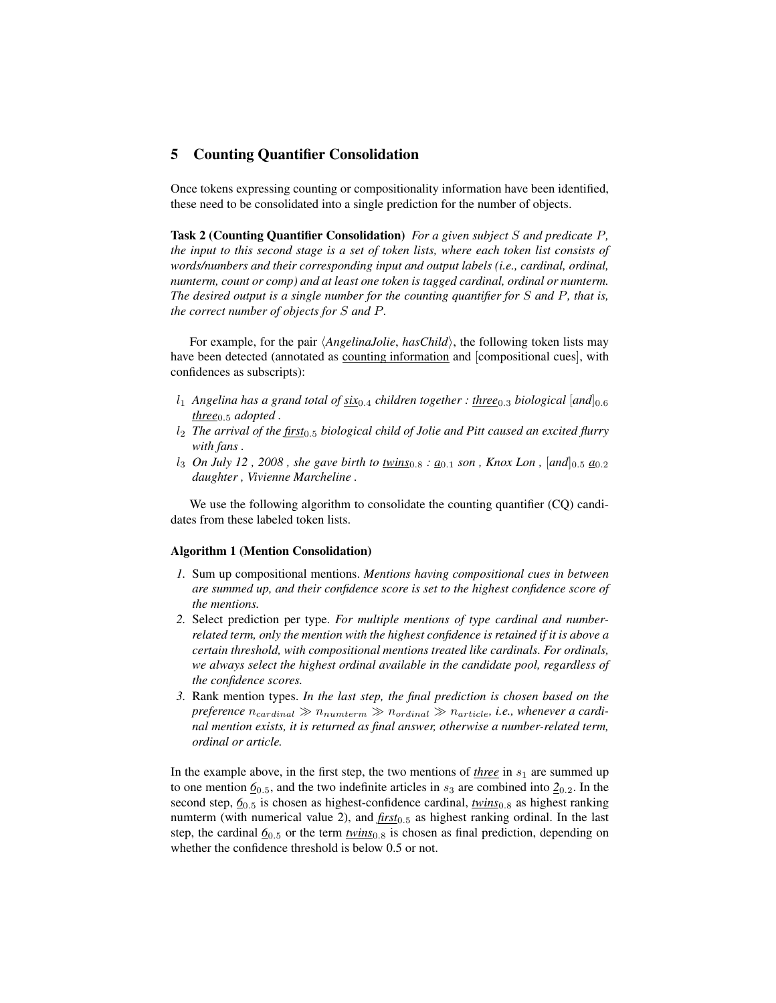# <span id="page-7-0"></span>5 Counting Quantifier Consolidation

Once tokens expressing counting or compositionality information have been identified, these need to be consolidated into a single prediction for the number of objects.

Task 2 (Counting Quantifier Consolidation) *For a given subject* S *and predicate* P*, the input to this second stage is a set of token lists, where each token list consists of words/numbers and their corresponding input and output labels (i.e., cardinal, ordinal, numterm, count or comp) and at least one token is tagged cardinal, ordinal or numterm. The desired output is a single number for the counting quantifier for* S *and* P*, that is, the correct number of objects for* S *and* P*.*

For example, for the pair  $\langle AngelinaJolie, hasChild \rangle$ , the following token lists may have been detected (annotated as counting information and [compositional cues], with confidences as subscripts):

- $l_1$  *Angelina has a grand total of*  $\underline{\text{six}}_{0.4}$  *<i>children together : three*<sub>0.3</sub> *biological*  $|$ *and* $|_{0.6}$ *three*0.<sup>5</sup> *adopted .*
- l<sup>2</sup> *The arrival of the first*0.<sup>5</sup> *biological child of Jolie and Pitt caused an excited flurry with fans .*
- $l_3$  *On July 12*, 2008, she gave birth to <u>twins<sub>0.8</sub> :  $a_{0.1}$ </u> son, Knox Lon,  $[and]_{0.5}$   $a_{0.2}$ *daughter , Vivienne Marcheline .*

We use the following algorithm to consolidate the counting quantifier (CQ) candidates from these labeled token lists.

#### Algorithm 1 (Mention Consolidation)

- *1.* Sum up compositional mentions. *Mentions having compositional cues in between are summed up, and their confidence score is set to the highest confidence score of the mentions.*
- *2.* Select prediction per type. *For multiple mentions of type cardinal and numberrelated term, only the mention with the highest confidence is retained if it is above a certain threshold, with compositional mentions treated like cardinals. For ordinals, we always select the highest ordinal available in the candidate pool, regardless of the confidence scores.*
- *3.* Rank mention types. *In the last step, the final prediction is chosen based on the preference*  $n_{cardinal} \gg n_{numterm} \gg n_{original} \gg n_{article}$ , *i.e.*, whenever a cardi*nal mention exists, it is returned as final answer, otherwise a number-related term, ordinal or article.*

In the example above, in the first step, the two mentions of *three* in  $s<sub>1</sub>$  are summed up to one mention  $\mathbf{\underline{6}}_{0.5}$ , and the two indefinite articles in  $s_3$  are combined into  $\mathbf{\underline{2}}_{0.2}$ . In the second step,  $\mathfrak{G}_{0.5}$  is chosen as highest-confidence cardinal, *twins*<sub>0.8</sub> as highest ranking numterm (with numerical value 2), and  $first_{0.5}$  as highest ranking ordinal. In the last step, the cardinal  $6<sub>0.5</sub>$  or the term  $twins<sub>0.8</sub>$  is chosen as final prediction, depending on whether the confidence threshold is below 0.5 or not.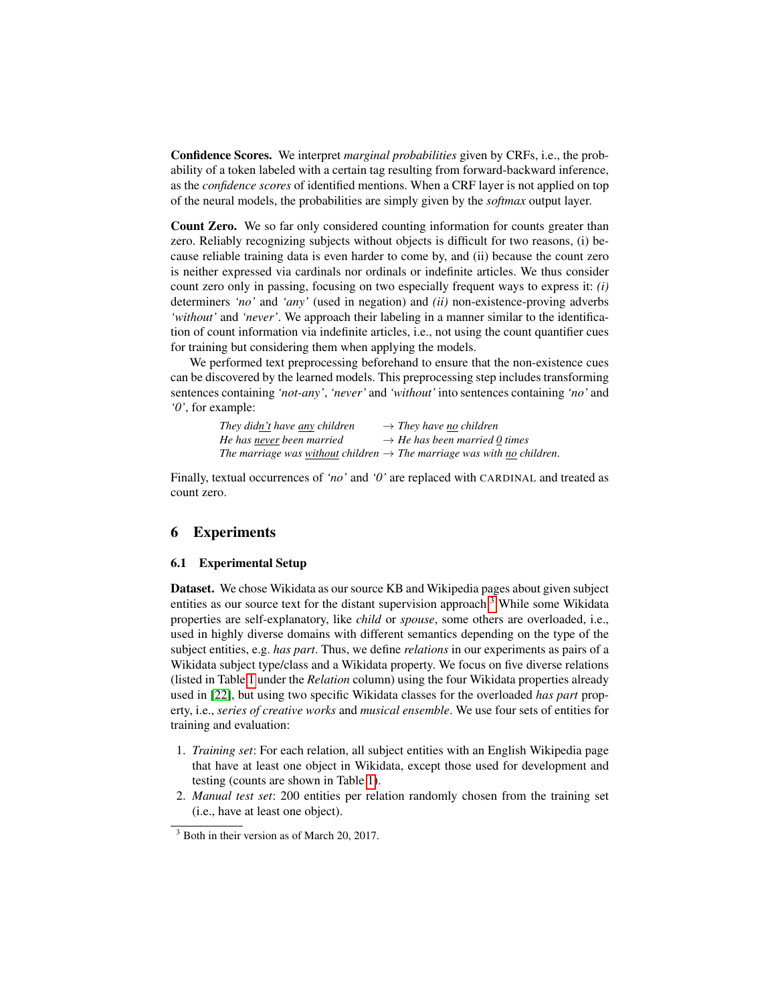Confidence Scores. We interpret *marginal probabilities* given by CRFs, i.e., the probability of a token labeled with a certain tag resulting from forward-backward inference, as the *confidence scores* of identified mentions. When a CRF layer is not applied on top of the neural models, the probabilities are simply given by the *softmax* output layer.

Count Zero. We so far only considered counting information for counts greater than zero. Reliably recognizing subjects without objects is difficult for two reasons, (i) because reliable training data is even harder to come by, and (ii) because the count zero is neither expressed via cardinals nor ordinals or indefinite articles. We thus consider count zero only in passing, focusing on two especially frequent ways to express it: *(i)* determiners *'no'* and *'any'* (used in negation) and *(ii)* non-existence-proving adverbs *'without'* and *'never'*. We approach their labeling in a manner similar to the identification of count information via indefinite articles, i.e., not using the count quantifier cues for training but considering them when applying the models.

We performed text preprocessing beforehand to ensure that the non-existence cues can be discovered by the learned models. This preprocessing step includes transforming sentences containing *'not-any'*, *'never'* and *'without'* into sentences containing *'no'* and *'0'*, for example:

> *They didn't have any children*  $\rightarrow$  *They have no children He has <u>never</u> been married*  $\rightarrow$  *He has been married*  $\Omega$  *times The marriage was without children*  $\rightarrow$  *The marriage was with no children.*

Finally, textual occurrences of *'no'* and *'0'* are replaced with CARDINAL and treated as count zero.

### <span id="page-8-0"></span>6 Experiments

#### <span id="page-8-2"></span>6.1 Experimental Setup

Dataset. We chose Wikidata as our source KB and Wikipedia pages about given subject entities as our source text for the distant supervision approach.<sup>[3](#page-8-1)</sup> While some Wikidata properties are self-explanatory, like *child* or *spouse*, some others are overloaded, i.e., used in highly diverse domains with different semantics depending on the type of the subject entities, e.g. *has part*. Thus, we define *relations* in our experiments as pairs of a Wikidata subject type/class and a Wikidata property. We focus on five diverse relations (listed in Table [1](#page-9-0) under the *Relation* column) using the four Wikidata properties already used in [\[22\]](#page-15-11), but using two specific Wikidata classes for the overloaded *has part* property, i.e., *series of creative works* and *musical ensemble*. We use four sets of entities for training and evaluation:

- 1. *Training set*: For each relation, all subject entities with an English Wikipedia page that have at least one object in Wikidata, except those used for development and testing (counts are shown in Table [1\)](#page-9-0).
- 2. *Manual test set*: 200 entities per relation randomly chosen from the training set (i.e., have at least one object).

<span id="page-8-1"></span><sup>&</sup>lt;sup>3</sup> Both in their version as of March 20, 2017.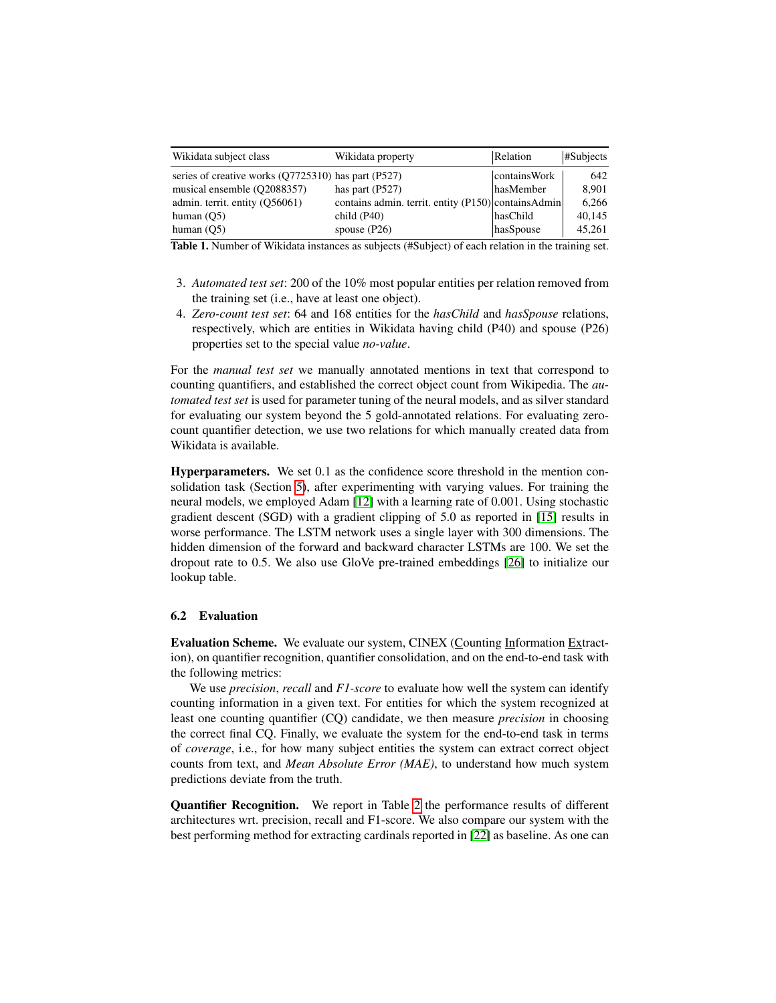| Wikidata subject class                              | Wikidata property                                    | Relation     | $ $ #Subjects |
|-----------------------------------------------------|------------------------------------------------------|--------------|---------------|
| series of creative works (Q7725310) has part (P527) |                                                      | containsWork | 642           |
| musical ensemble (O2088357)                         | has part $(P527)$                                    | hasMember    | 8.901         |
| admin. territ. entity (Q56061)                      | contains admin. territ. entity (P150) contains Admin |              | 6.266         |
| human $(Q5)$                                        | child $(P40)$                                        | hasChild     | 40,145        |
| human $(O5)$                                        | spouse $(P26)$                                       | hasSpouse    | 45,261        |

<span id="page-9-0"></span>Table 1. Number of Wikidata instances as subjects (#Subject) of each relation in the training set.

- 3. *Automated test set*: 200 of the 10% most popular entities per relation removed from the training set (i.e., have at least one object).
- 4. *Zero-count test set*: 64 and 168 entities for the *hasChild* and *hasSpouse* relations, respectively, which are entities in Wikidata having child (P40) and spouse (P26) properties set to the special value *no-value*.

For the *manual test set* we manually annotated mentions in text that correspond to counting quantifiers, and established the correct object count from Wikipedia. The *automated test set* is used for parameter tuning of the neural models, and as silver standard for evaluating our system beyond the 5 gold-annotated relations. For evaluating zerocount quantifier detection, we use two relations for which manually created data from Wikidata is available.

Hyperparameters. We set 0.1 as the confidence score threshold in the mention consolidation task (Section [5\)](#page-7-0), after experimenting with varying values. For training the neural models, we employed Adam [\[12\]](#page-15-12) with a learning rate of 0.001. Using stochastic gradient descent (SGD) with a gradient clipping of 5.0 as reported in [\[15\]](#page-15-9) results in worse performance. The LSTM network uses a single layer with 300 dimensions. The hidden dimension of the forward and backward character LSTMs are 100. We set the dropout rate to 0.5. We also use GloVe pre-trained embeddings [\[26\]](#page-15-13) to initialize our lookup table.

#### 6.2 Evaluation

Evaluation Scheme. We evaluate our system, CINEX (Counting Information Extraction), on quantifier recognition, quantifier consolidation, and on the end-to-end task with the following metrics:

We use *precision*, *recall* and *F1-score* to evaluate how well the system can identify counting information in a given text. For entities for which the system recognized at least one counting quantifier (CQ) candidate, we then measure *precision* in choosing the correct final CQ. Finally, we evaluate the system for the end-to-end task in terms of *coverage*, i.e., for how many subject entities the system can extract correct object counts from text, and *Mean Absolute Error (MAE)*, to understand how much system predictions deviate from the truth.

Quantifier Recognition. We report in Table [2](#page-10-0) the performance results of different architectures wrt. precision, recall and F1-score. We also compare our system with the best performing method for extracting cardinals reported in [\[22\]](#page-15-11) as baseline. As one can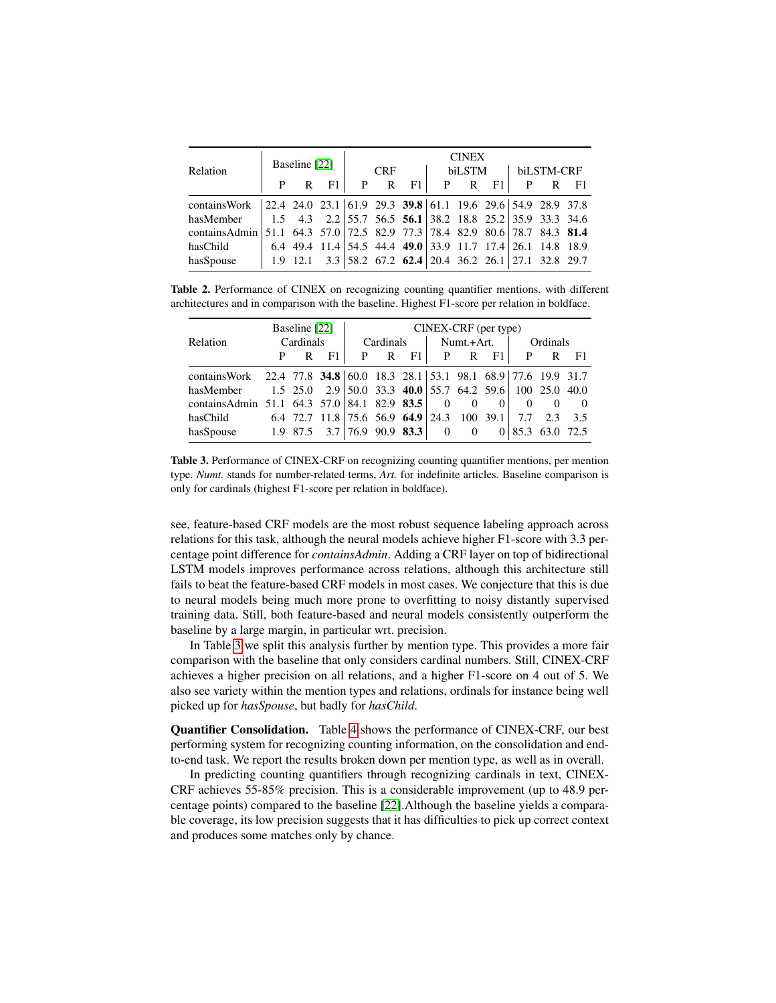| Relation                                                                   | Baseline [22] |   |    | <b>CINEX</b><br>biLSTM-CRF<br>biLSTM |                 |    |                                                                                                                                                         |   |     |  |   |      |
|----------------------------------------------------------------------------|---------------|---|----|--------------------------------------|-----------------|----|---------------------------------------------------------------------------------------------------------------------------------------------------------|---|-----|--|---|------|
|                                                                            |               | R | F1 | P                                    | <b>CRF</b><br>R | F1 | P                                                                                                                                                       | R | F1. |  | R | - F1 |
| containsWork                                                               |               |   |    |                                      |                 |    | $\left  22.4 \right  24.0 \left  23.1 \right  61.9 \left  29.3 \right  39.8 \left  61.1 \right  19.6 \left  29.6 \right  54.9 \left  28.9 \right  37.8$ |   |     |  |   |      |
| hasMember                                                                  |               |   |    |                                      |                 |    | 1.5 4.3 2.2 55.7 56.5 56.1 38.2 18.8 25.2 35.9 33.3 34.6                                                                                                |   |     |  |   |      |
| contains Admin 51.1 64.3 57.0 72.5 82.9 77.3 78.4 82.9 80.6 78.7 84.3 81.4 |               |   |    |                                      |                 |    |                                                                                                                                                         |   |     |  |   |      |
| hasChild                                                                   |               |   |    |                                      |                 |    | 6.4 49.4 11.4 54.5 44.4 49.0 33.9 11.7 17.4 26.1 14.8 18.9                                                                                              |   |     |  |   |      |
| hasSpouse                                                                  |               |   |    |                                      |                 |    | 1.9 12.1 3.3 58.2 67.2 62.4 20.4 36.2 26.1 27.1 32.8 29.7                                                                                               |   |     |  |   |      |

<span id="page-10-0"></span>Table 2. Performance of CINEX on recognizing counting quantifier mentions, with different architectures and in comparison with the baseline. Highest F1-score per relation in boldface.

|                                                                           | Baseline [22] |  |                               | CINEX-CRF (per type) |              |    |                |                                                          |          |          |           |      |
|---------------------------------------------------------------------------|---------------|--|-------------------------------|----------------------|--------------|----|----------------|----------------------------------------------------------|----------|----------|-----------|------|
| Relation                                                                  | Cardinals     |  |                               | Cardinals            |              |    | Numt.+Art.     |                                                          |          | Ordinals |           |      |
|                                                                           |               |  | F1.                           | P                    | <sup>R</sup> | F1 | P              | $\overline{R}$                                           | F1       |          |           | - F1 |
| contains Work 22.4 77.8 34.8 60.0 18.3 28.1 53.1 98.1 68.9 77.6 19.9 31.7 |               |  |                               |                      |              |    |                |                                                          |          |          |           |      |
| hasMember                                                                 |               |  |                               |                      |              |    |                | 1.5 25.0 2.9 50.0 33.3 40.0 55.7 64.2 59.6 100 25.0 40.0 |          |          |           |      |
| contains Admin 51.1 64.3 57.0 84.1 82.9 83.5                              |               |  |                               |                      |              |    | $\overline{0}$ | $\overline{0}$                                           | $\Omega$ |          | $\theta$  |      |
| hasChild                                                                  |               |  |                               |                      |              |    |                | 6.4 72.7 11.8 75.6 56.9 64.9 24.3 100 39.1               |          | 7.7      | 2.3       | 3.5  |
| hasSpouse                                                                 |               |  | $1.9$ 87.5 3.7 76.9 90.9 83.3 |                      |              |    | $\bf{0}$       | $\hspace{1.6cm}0$                                        |          |          | 85.3 63.0 | 72.5 |

<span id="page-10-1"></span>Table 3. Performance of CINEX-CRF on recognizing counting quantifier mentions, per mention type. *Numt.* stands for number-related terms, *Art.* for indefinite articles. Baseline comparison is only for cardinals (highest F1-score per relation in boldface).

see, feature-based CRF models are the most robust sequence labeling approach across relations for this task, although the neural models achieve higher F1-score with 3.3 percentage point difference for *containsAdmin*. Adding a CRF layer on top of bidirectional LSTM models improves performance across relations, although this architecture still fails to beat the feature-based CRF models in most cases. We conjecture that this is due to neural models being much more prone to overfitting to noisy distantly supervised training data. Still, both feature-based and neural models consistently outperform the baseline by a large margin, in particular wrt. precision.

In Table [3](#page-10-1) we split this analysis further by mention type. This provides a more fair comparison with the baseline that only considers cardinal numbers. Still, CINEX-CRF achieves a higher precision on all relations, and a higher F1-score on 4 out of 5. We also see variety within the mention types and relations, ordinals for instance being well picked up for *hasSpouse*, but badly for *hasChild*.

Quantifier Consolidation. Table [4](#page-11-0) shows the performance of CINEX-CRF, our best performing system for recognizing counting information, on the consolidation and endto-end task. We report the results broken down per mention type, as well as in overall.

In predicting counting quantifiers through recognizing cardinals in text, CINEX-CRF achieves 55-85% precision. This is a considerable improvement (up to 48.9 percentage points) compared to the baseline [\[22\]](#page-15-11).Although the baseline yields a comparable coverage, its low precision suggests that it has difficulties to pick up correct context and produces some matches only by chance.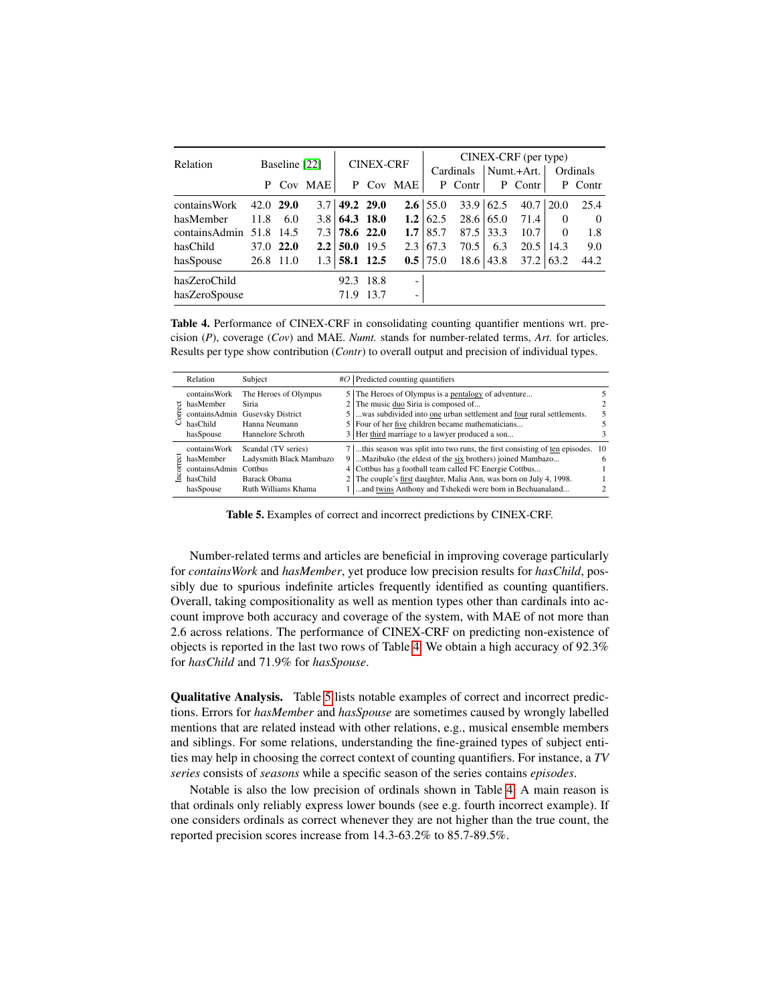| Relation                 | Baseline [22] |             | <b>CINEX-CRF</b> |             |           |         | Cardinals       | CINEX-CRF (per type)<br>$\vert$ Numt.+Art.<br>Ordinals |                  |         |                  |          |
|--------------------------|---------------|-------------|------------------|-------------|-----------|---------|-----------------|--------------------------------------------------------|------------------|---------|------------------|----------|
|                          | P             | Cov         | MAE              | P           |           | Cov MAE | P.              | Contr                                                  |                  | P Contr |                  | P Contr  |
| contains Work            | 42.O          | <b>29.0</b> | 3.7              | 49.2 29.0   |           |         | $2.6 \mid 55.0$ |                                                        | $33.9 \mid 62.5$ |         | $40.7 \mid 20.0$ | 25.4     |
| hasMember                | 11.8          | 6.0         | 3.8              | 64.3 18.0   |           |         | $1.2 \mid 62.5$ | 28.6                                                   | 65.0             | 71.4    | $\Omega$         | $\Omega$ |
| contains Admin 51.8 14.5 |               |             | 7.3              |             | 78.6 22.0 | 1.7     | 85.7            | 87.5                                                   | 33.3             | 10.7    | $\Omega$         | 1.8      |
| hasChild                 |               | $37.0$ 22.0 | 2.2              | $50.0$ 19.5 |           | $2.3$   | 67.3            | 70.5                                                   | 6.3              | 20.5    | 14.3             | 9.0      |
| hasSpouse                | 26.8 11.0     |             | 1.3 <sup>1</sup> |             | 58.1 12.5 |         | $0.5 \mid 75.0$ | 18.6                                                   | 43.8             | 37.2    | 63.2             | 44.2     |
| hasZeroChild             |               |             |                  | 92.3        | 18.8      | -       |                 |                                                        |                  |         |                  |          |
| hasZeroSpouse            |               |             |                  | 71.9        | 13.7      | -       |                 |                                                        |                  |         |                  |          |

<span id="page-11-0"></span>Table 4. Performance of CINEX-CRF in consolidating counting quantifier mentions wrt. precision (*P*), coverage (*Cov*) and MAE. *Numt.* stands for number-related terms, *Art.* for articles. Results per type show contribution (*Contr*) to overall output and precision of individual types.

|    | Relation              | Subject                  | $#O$ Predicted counting quantifiers                                                     |  |
|----|-----------------------|--------------------------|-----------------------------------------------------------------------------------------|--|
|    | containsWork          | The Heroes of Olympus    | 5 The Heroes of Olympus is a pentalogy of adventure                                     |  |
| ನ  | hasMember             | Siria                    | 2 The music duo Siria is composed of                                                    |  |
|    | containsAdmin         | <b>Gusevsky District</b> | 5.  was subdivided into one urban settlement and four rural settlements.                |  |
|    | hasChild              | Hanna Neumann            | 5 Four of her five children became mathematicians                                       |  |
|    | hasSpouse             | Hannelore Schroth        | 3 Her third marriage to a lawyer produced a son                                         |  |
|    | containsWork          | Scandal (TV series)      | $7 \mid $ this season was split into two runs, the first consisting of ten episodes. 10 |  |
| 5  | hasMember             | Ladysmith Black Mambazo  | 9. Mazibuko (the eldest of the six brothers) joined Mambazo                             |  |
|    | containsAdmin Cottbus |                          | 4 Cottbus has a football team called FC Energie Cottbus                                 |  |
| Ê. | hasChild              | Barack Obama             | 2 The couple's first daughter, Malia Ann, was born on July 4, 1998.                     |  |
|    | hasSpouse             | Ruth Williams Khama      | 1. and twins Anthony and Tshekedi were born in Bechuanaland                             |  |

<span id="page-11-1"></span>Table 5. Examples of correct and incorrect predictions by CINEX-CRF.

Number-related terms and articles are beneficial in improving coverage particularly for *containsWork* and *hasMember*, yet produce low precision results for *hasChild*, possibly due to spurious indefinite articles frequently identified as counting quantifiers. Overall, taking compositionality as well as mention types other than cardinals into account improve both accuracy and coverage of the system, with MAE of not more than 2.6 across relations. The performance of CINEX-CRF on predicting non-existence of objects is reported in the last two rows of Table [4.](#page-11-0) We obtain a high accuracy of 92.3% for *hasChild* and 71.9% for *hasSpouse*.

Qualitative Analysis. Table [5](#page-11-1) lists notable examples of correct and incorrect predictions. Errors for *hasMember* and *hasSpouse* are sometimes caused by wrongly labelled mentions that are related instead with other relations, e.g., musical ensemble members and siblings. For some relations, understanding the fine-grained types of subject entities may help in choosing the correct context of counting quantifiers. For instance, a *TV series* consists of *seasons* while a specific season of the series contains *episodes*.

Notable is also the low precision of ordinals shown in Table [4.](#page-11-0) A main reason is that ordinals only reliably express lower bounds (see e.g. fourth incorrect example). If one considers ordinals as correct whenever they are not higher than the true count, the reported precision scores increase from 14.3-63.2% to 85.7-89.5%.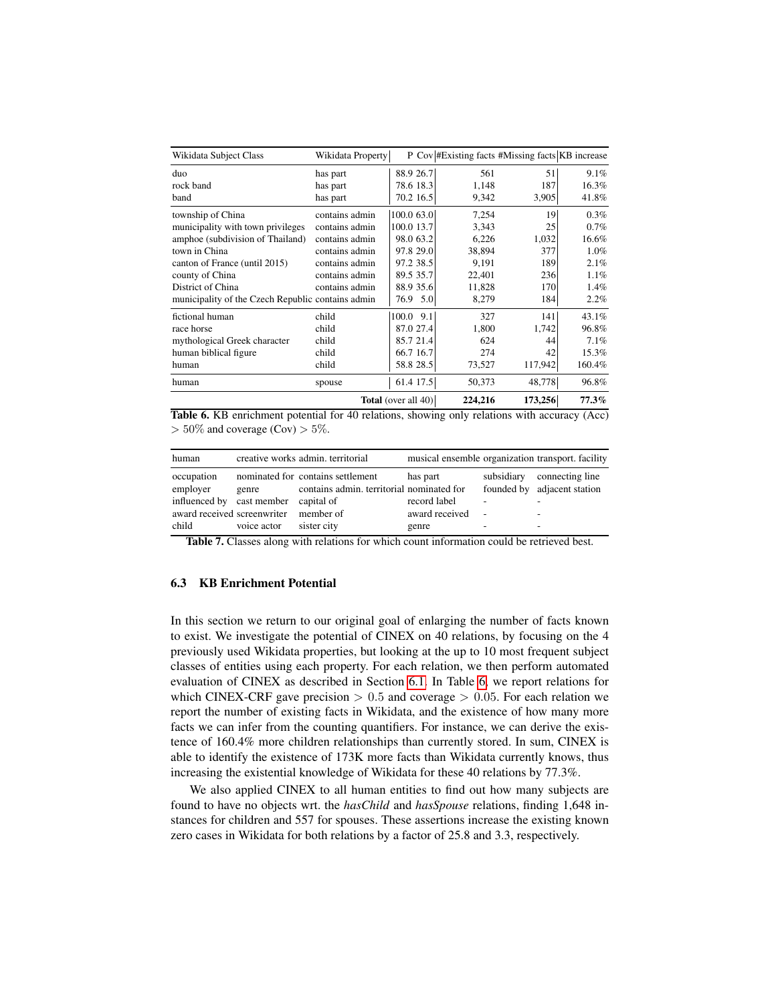| Wikidata Subject Class                            | Wikidata Property |                            |         | P Cov #Existing facts #Missing facts KB increase |        |
|---------------------------------------------------|-------------------|----------------------------|---------|--------------------------------------------------|--------|
| duo                                               | has part          | 88.9 26.7                  | 561     | 51                                               | 9.1%   |
| rock band                                         | has part          | 78.6 18.3                  | 1,148   | 187                                              | 16.3%  |
| band                                              | has part          | 70.2 16.5                  | 9,342   | 3,905                                            | 41.8%  |
| township of China                                 | contains admin    | 100.063.0                  | 7,254   | 19                                               | 0.3%   |
| municipality with town privileges                 | contains admin    | 100.0 13.7                 | 3,343   | 25                                               | 0.7%   |
| amphoe (subdivision of Thailand)                  | contains admin    | 98.0 63.2                  | 6,226   | 1,032                                            | 16.6%  |
| town in China                                     | contains admin    | 97.8 29.0                  | 38,894  | 377                                              | 1.0%   |
| canton of France (until 2015)                     | contains admin    | 97.2 38.5                  | 9,191   | 189                                              | 2.1%   |
| county of China                                   | contains admin    | 89.5 35.7                  | 22,401  | 236                                              | 1.1%   |
| District of China                                 | contains admin    | 88.9 35.6                  | 11,828  | 170                                              | 1.4%   |
| municipality of the Czech Republic contains admin |                   | 76.9 5.01                  | 8,279   | 184                                              | 2.2%   |
| fictional human                                   | child             | $100.0$ 9.1                | 327     | 141                                              | 43.1%  |
| race horse                                        | child             | 87.0 27.4                  | 1,800   | 1,742                                            | 96.8%  |
| mythological Greek character                      | child             | 85.7 21.4                  | 624     | 44                                               | 7.1%   |
| human biblical figure                             | child             | 66.7 16.7                  | 274     | 42                                               | 15.3%  |
| human                                             | child             | 58.8 28.5                  | 73,527  | 117,942                                          | 160.4% |
| human                                             | spouse            | 61.4 17.5                  | 50,373  | 48,778                                           | 96.8%  |
|                                                   |                   | <b>Total</b> (over all 40) | 224,216 | 173,256                                          | 77.3%  |

<span id="page-12-0"></span>Table 6. KB enrichment potential for 40 relations, showing only relations with accuracy (Acc)  $> 50\%$  and coverage (Cov)  $> 5\%.$ 

| human                       |             | creative works admin. territorial                                              | musical ensemble organization transport. facility |            |                                                |
|-----------------------------|-------------|--------------------------------------------------------------------------------|---------------------------------------------------|------------|------------------------------------------------|
| occupation<br>employer      | genre       | nominated for contains settlement<br>contains admin. territorial nominated for | has part                                          | subsidiary | connecting line<br>founded by adjacent station |
| influenced by cast member   |             | capital of                                                                     | record label                                      | ٠          |                                                |
| award received screenwriter |             | member of                                                                      | award received                                    | $\sim$     | ۰                                              |
| child                       | voice actor | sister city                                                                    | genre                                             |            |                                                |

<span id="page-12-1"></span>Table 7. Classes along with relations for which count information could be retrieved best.

#### 6.3 KB Enrichment Potential

In this section we return to our original goal of enlarging the number of facts known to exist. We investigate the potential of CINEX on 40 relations, by focusing on the 4 previously used Wikidata properties, but looking at the up to 10 most frequent subject classes of entities using each property. For each relation, we then perform automated evaluation of CINEX as described in Section [6.1.](#page-8-2) In Table [6,](#page-12-0) we report relations for which CINEX-CRF gave precision  $> 0.5$  and coverage  $> 0.05$ . For each relation we report the number of existing facts in Wikidata, and the existence of how many more facts we can infer from the counting quantifiers. For instance, we can derive the existence of 160.4% more children relationships than currently stored. In sum, CINEX is able to identify the existence of 173K more facts than Wikidata currently knows, thus increasing the existential knowledge of Wikidata for these 40 relations by 77.3%.

We also applied CINEX to all human entities to find out how many subjects are found to have no objects wrt. the *hasChild* and *hasSpouse* relations, finding 1,648 instances for children and 557 for spouses. These assertions increase the existing known zero cases in Wikidata for both relations by a factor of 25.8 and 3.3, respectively.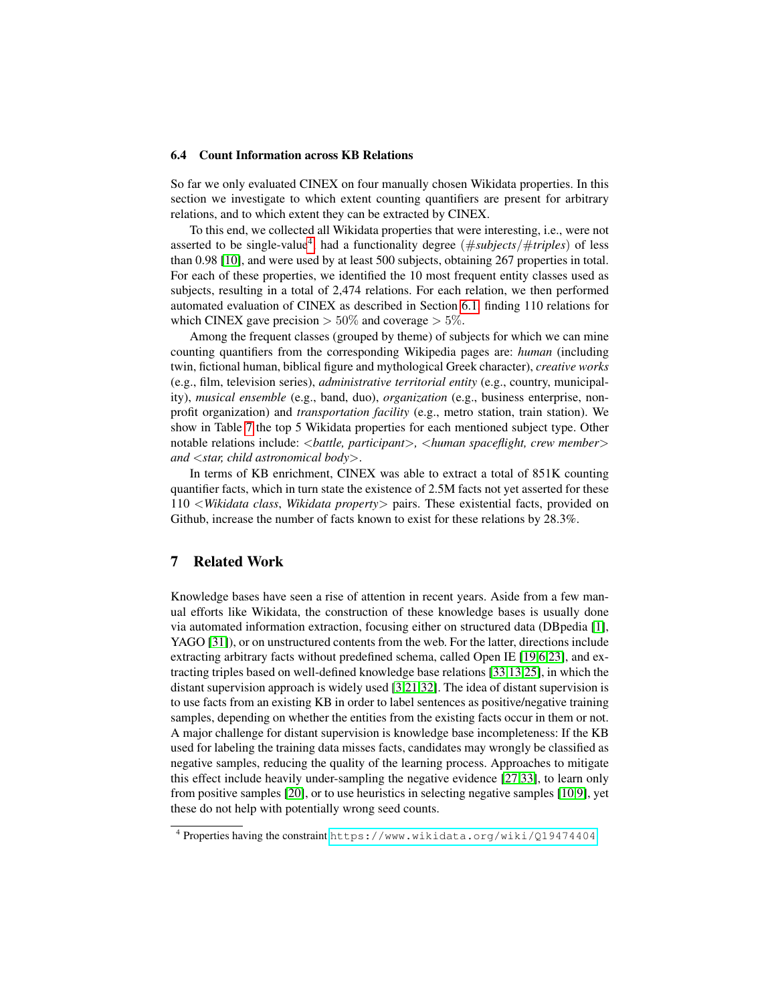#### <span id="page-13-0"></span>6.4 Count Information across KB Relations

So far we only evaluated CINEX on four manually chosen Wikidata properties. In this section we investigate to which extent counting quantifiers are present for arbitrary relations, and to which extent they can be extracted by CINEX.

To this end, we collected all Wikidata properties that were interesting, i.e., were not asserted to be single-value[4](#page-13-2) , had a functionality degree (#*subjects*/#*triples*) of less than 0.98 [\[10\]](#page-15-14), and were used by at least 500 subjects, obtaining 267 properties in total. For each of these properties, we identified the 10 most frequent entity classes used as subjects, resulting in a total of 2,474 relations. For each relation, we then performed automated evaluation of CINEX as described in Section [6.1,](#page-8-2) finding 110 relations for which CINEX gave precision  $> 50\%$  and coverage  $> 5\%$ .

Among the frequent classes (grouped by theme) of subjects for which we can mine counting quantifiers from the corresponding Wikipedia pages are: *human* (including twin, fictional human, biblical figure and mythological Greek character), *creative works* (e.g., film, television series), *administrative territorial entity* (e.g., country, municipality), *musical ensemble* (e.g., band, duo), *organization* (e.g., business enterprise, nonprofit organization) and *transportation facility* (e.g., metro station, train station). We show in Table [7](#page-12-1) the top 5 Wikidata properties for each mentioned subject type. Other notable relations include: <*battle, participant*>*,* <*human spaceflight, crew member*> *and* <*star, child astronomical body*>.

In terms of KB enrichment, CINEX was able to extract a total of 851K counting quantifier facts, which in turn state the existence of 2.5M facts not yet asserted for these 110 <*Wikidata class*, *Wikidata property*> pairs. These existential facts, provided on Github, increase the number of facts known to exist for these relations by 28.3%.

### <span id="page-13-1"></span>7 Related Work

Knowledge bases have seen a rise of attention in recent years. Aside from a few manual efforts like Wikidata, the construction of these knowledge bases is usually done via automated information extraction, focusing either on structured data (DBpedia [\[1\]](#page-14-0), YAGO [\[31\]](#page-15-1)), or on unstructured contents from the web. For the latter, directions include extracting arbitrary facts without predefined schema, called Open IE [\[19](#page-15-15)[,6](#page-14-4)[,23\]](#page-15-7), and extracting triples based on well-defined knowledge base relations [\[33](#page-15-16)[,13](#page-15-17)[,25\]](#page-15-18), in which the distant supervision approach is widely used [\[3,](#page-14-3)[21,](#page-15-4)[32\]](#page-15-5). The idea of distant supervision is to use facts from an existing KB in order to label sentences as positive/negative training samples, depending on whether the entities from the existing facts occur in them or not. A major challenge for distant supervision is knowledge base incompleteness: If the KB used for labeling the training data misses facts, candidates may wrongly be classified as negative samples, reducing the quality of the learning process. Approaches to mitigate this effect include heavily under-sampling the negative evidence [\[27,](#page-15-19)[33\]](#page-15-16), to learn only from positive samples [\[20\]](#page-15-20), or to use heuristics in selecting negative samples [\[10](#page-15-14)[,9\]](#page-15-21), yet these do not help with potentially wrong seed counts.

<span id="page-13-2"></span><sup>4</sup> Properties having the constraint <https://www.wikidata.org/wiki/Q19474404>.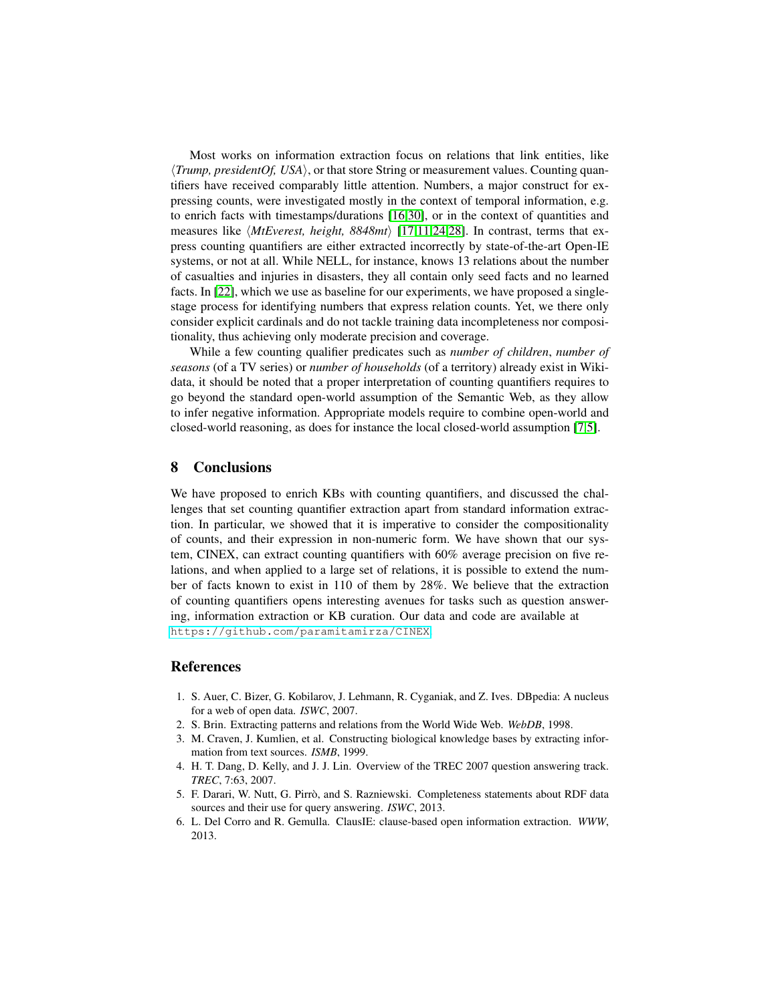Most works on information extraction focus on relations that link entities, like  $\langle$ *Trump, presidentOf, USA* $\rangle$ , or that store String or measurement values. Counting quantifiers have received comparably little attention. Numbers, a major construct for expressing counts, were investigated mostly in the context of temporal information, e.g. to enrich facts with timestamps/durations [\[16](#page-15-22)[,30\]](#page-15-23), or in the context of quantities and measures like *(MtEverest, height, 8848mt)* [\[17,](#page-15-24)[11,](#page-15-25)[24,](#page-15-26)[28\]](#page-15-27). In contrast, terms that express counting quantifiers are either extracted incorrectly by state-of-the-art Open-IE systems, or not at all. While NELL, for instance, knows 13 relations about the number of casualties and injuries in disasters, they all contain only seed facts and no learned facts. In [\[22\]](#page-15-11), which we use as baseline for our experiments, we have proposed a singlestage process for identifying numbers that express relation counts. Yet, we there only consider explicit cardinals and do not tackle training data incompleteness nor compositionality, thus achieving only moderate precision and coverage.

While a few counting qualifier predicates such as *number of children*, *number of seasons* (of a TV series) or *number of households* (of a territory) already exist in Wikidata, it should be noted that a proper interpretation of counting quantifiers requires to go beyond the standard open-world assumption of the Semantic Web, as they allow to infer negative information. Appropriate models require to combine open-world and closed-world reasoning, as does for instance the local closed-world assumption [\[7](#page-15-28)[,5\]](#page-14-5).

### 8 Conclusions

We have proposed to enrich KBs with counting quantifiers, and discussed the challenges that set counting quantifier extraction apart from standard information extraction. In particular, we showed that it is imperative to consider the compositionality of counts, and their expression in non-numeric form. We have shown that our system, CINEX, can extract counting quantifiers with 60% average precision on five relations, and when applied to a large set of relations, it is possible to extend the number of facts known to exist in 110 of them by 28%. We believe that the extraction of counting quantifiers opens interesting avenues for tasks such as question answering, information extraction or KB curation. Our data and code are available at <https://github.com/paramitamirza/CINEX>.

### References

- <span id="page-14-0"></span>1. S. Auer, C. Bizer, G. Kobilarov, J. Lehmann, R. Cyganiak, and Z. Ives. DBpedia: A nucleus for a web of open data. *ISWC*, 2007.
- <span id="page-14-1"></span>2. S. Brin. Extracting patterns and relations from the World Wide Web. *WebDB*, 1998.
- <span id="page-14-3"></span>3. M. Craven, J. Kumlien, et al. Constructing biological knowledge bases by extracting information from text sources. *ISMB*, 1999.
- <span id="page-14-2"></span>4. H. T. Dang, D. Kelly, and J. J. Lin. Overview of the TREC 2007 question answering track. *TREC*, 7:63, 2007.
- <span id="page-14-5"></span>5. F. Darari, W. Nutt, G. Pirro, and S. Razniewski. Completeness statements about RDF data ` sources and their use for query answering. *ISWC*, 2013.
- <span id="page-14-4"></span>6. L. Del Corro and R. Gemulla. ClausIE: clause-based open information extraction. *WWW*, 2013.